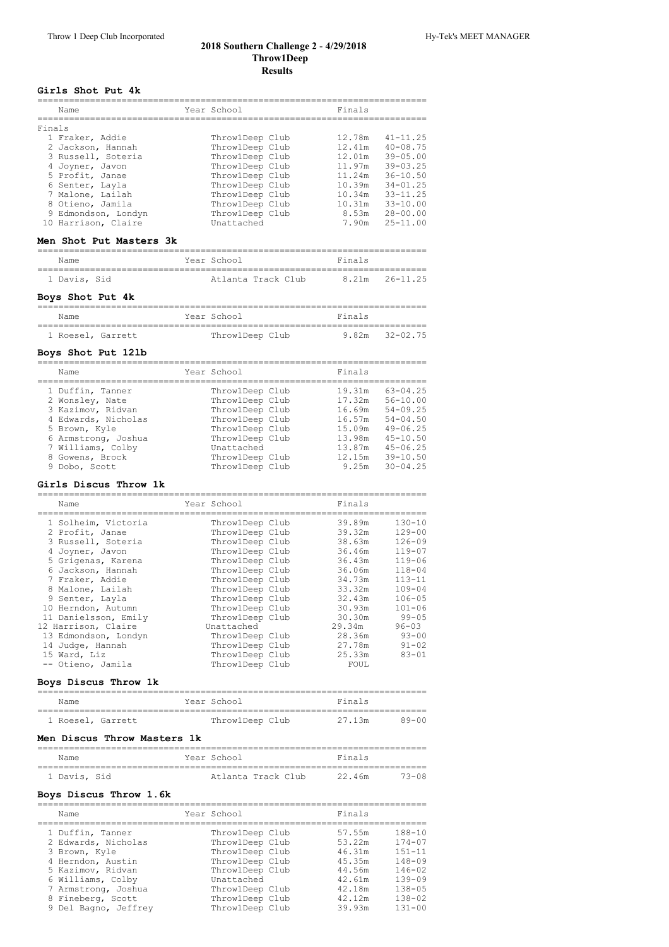## **2018 Southern Challenge 2 ‑ 4/29/2018 Throw1Deep Results**

#### **Girls Shot Put 4k**

|        | Name                | Year School     | Finals |              |
|--------|---------------------|-----------------|--------|--------------|
|        |                     |                 |        |              |
| Finals |                     |                 |        |              |
|        | 1 Fraker, Addie     | ThrowlDeep Club | 12.78m | $41 - 11.25$ |
|        | 2 Jackson, Hannah   | ThrowlDeep Club | 12.41m | $40 - 08.75$ |
|        | 3 Russell, Soteria  | ThrowlDeep Club | 12.01m | $39 - 05.00$ |
|        | 4 Joyner, Javon     | ThrowlDeep Club | 11.97m | $39 - 03.25$ |
|        | 5 Profit, Janae     | ThrowlDeep Club | 11.24m | $36 - 10.50$ |
|        | 6 Senter, Layla     | ThrowlDeep Club | 10.39m | $34 - 01.25$ |
|        | 7 Malone, Lailah    | ThrowlDeep Club | 10.34m | $33 - 11.25$ |
|        | 8 Otieno, Jamila    | ThrowlDeep Club | 10.31m | $33 - 10.00$ |
|        | 9 Edmondson, Londyn | ThrowlDeep Club | 8.53m  | $28 - 00.00$ |
|        | 10 Harrison, Claire | Unattached      | 7.90m  | $25 - 11.00$ |

# **Men Shot Put Masters 3k**

| Name         |  | Year School        |  | Finals |                |
|--------------|--|--------------------|--|--------|----------------|
|              |  |                    |  |        |                |
| 1 Davis, Sid |  | Atlanta Track Club |  |        | 8.21m 26-11.25 |

#### **Boys Shot Put 4k**

| Name              | Year School     | Finals             |
|-------------------|-----------------|--------------------|
| 1 Roesel, Garrett | ThrowlDeep Club | $9.82m$ $32-02.75$ |

#### **Boys Shot Put 12lb**

| Name                | Year School     | Finals |              |
|---------------------|-----------------|--------|--------------|
| 1 Duffin, Tanner    | ThrowlDeep Club | 19.31m | $63 - 04.25$ |
| 2 Wonsley, Nate     | ThrowlDeep Club | 17.32m | $56 - 10.00$ |
| 3 Kazimov, Ridvan   | ThrowlDeep Club | 16.69m | $54 - 09.25$ |
| 4 Edwards, Nicholas | ThrowlDeep Club | 16.57m | $54 - 04.50$ |
| 5 Brown, Kyle       | ThrowlDeep Club | 15.09m | $49 - 06.25$ |
| 6 Armstrong, Joshua | ThrowlDeep Club | 13.98m | $45 - 10.50$ |
| 7 Williams, Colby   | Unattached      | 13.87m | $45 - 06.25$ |
| 8 Gowens, Brock     | ThrowlDeep Club | 12.15m | $39 - 10.50$ |
| 9 Dobo, Scott       | ThrowlDeep Club | 9.25m  | $30 - 04.25$ |

#### **Girls Discus Throw 1k**

| Name                 | Year School     | Finals |            |
|----------------------|-----------------|--------|------------|
|                      |                 |        |            |
| 1 Solheim, Victoria  | ThrowlDeep Club | 39.89m | $130 - 10$ |
| 2 Profit, Janae      | ThrowlDeep Club | 39.32m | $129 - 00$ |
| 3 Russell, Soteria   | ThrowlDeep Club | 38.63m | $126 - 09$ |
| 4 Joyner, Javon      | ThrowlDeep Club | 36.46m | $119 - 07$ |
| 5 Grigenas, Karena   | ThrowlDeep Club | 36.43m | $119 - 06$ |
| 6 Jackson, Hannah    | ThrowlDeep Club | 36.06m | $118 - 04$ |
| 7 Fraker, Addie      | ThrowlDeep Club | 34.73m | $113 - 11$ |
| 8 Malone, Lailah     | ThrowlDeep Club | 33.32m | $109 - 04$ |
| 9 Senter, Layla      | ThrowlDeep Club | 32.43m | $106 - 05$ |
| 10 Herndon, Autumn   | ThrowlDeep Club | 30.93m | $101 - 06$ |
| 11 Danielsson, Emily | ThrowlDeep Club | 30.30m | $99 - 05$  |
| 12 Harrison, Claire  | Unattached      | 29.34m | $96 - 03$  |
| 13 Edmondson, Londyn | ThrowlDeep Club | 28.36m | $93 - 00$  |
| 14 Judge, Hannah     | ThrowlDeep Club | 27.78m | $91 - 02$  |
| 15 Ward, Liz         | ThrowlDeep Club | 25.33m | $83 - 01$  |
| -- Otieno, Jamila    | ThrowlDeep Club | FOUL   |            |

# **Boys Discus Throw 1k**

| Name              |  | Year School     | Finals |       |
|-------------------|--|-----------------|--------|-------|
| 1 Roesel, Garrett |  | ThrowlDeep Club | 27.13m | 89-00 |

#### **Men Discus Throw Masters 1k**

| Name         |  | Year School        |  | Finals |        |
|--------------|--|--------------------|--|--------|--------|
| 1 Davis, Sid |  | Atlanta Track Club |  | 22.46m | 73-08. |

# **Boys Discus Throw 1.6k**

| Name                 | Year School     | Finals |            |
|----------------------|-----------------|--------|------------|
| 1 Duffin, Tanner     | ThrowlDeep Club | 57.55m | $188 - 10$ |
| 2 Edwards, Nicholas  | ThrowlDeep Club | 53.22m | $174 - 07$ |
| 3 Brown, Kyle        | ThrowlDeep Club | 46.31m | $151 - 11$ |
| 4 Herndon, Austin    | ThrowlDeep Club | 45.35m | $148 - 09$ |
| 5 Kazimov, Ridvan    | ThrowlDeep Club | 44.56m | $146 - 02$ |
| 6 Williams, Colby    | Unattached      | 42.61m | $139 - 09$ |
| 7 Armstrong, Joshua  | ThrowlDeep Club | 42.18m | $138 - 05$ |
| 8 Fineberg, Scott    | ThrowlDeep Club | 42.12m | $138 - 02$ |
| 9 Del Bagno, Jeffrey | ThrowlDeep Club | 39.93m | $131 - 00$ |